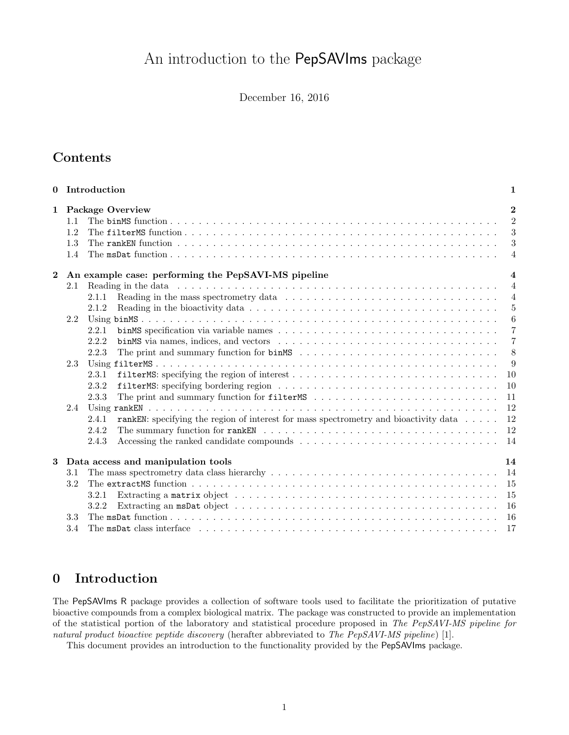# An introduction to the PepSAVIms package

December 16, 2016

## Contents

| $\mathbf{0}$ |                          | Introduction                                                                                                                                                                                                                                                                                                                        | $\mathbf 1$                                                                                                |
|--------------|--------------------------|-------------------------------------------------------------------------------------------------------------------------------------------------------------------------------------------------------------------------------------------------------------------------------------------------------------------------------------|------------------------------------------------------------------------------------------------------------|
| 1            | 1.1<br>1.2<br>1.3<br>1.4 | <b>Package Overview</b><br>The msDat function $\ldots$ $\ldots$ $\ldots$ $\ldots$ $\ldots$ $\ldots$ $\ldots$ $\ldots$ $\ldots$ $\ldots$ $\ldots$ $\ldots$ $\ldots$ $\ldots$ $\ldots$ $\ldots$                                                                                                                                       | $\mathbf{2}$<br>$\mathcal{D}$<br>3<br>3<br>$\overline{4}$                                                  |
| $\mathbf{2}$ |                          | An example case: performing the PepSAVI-MS pipeline                                                                                                                                                                                                                                                                                 | $\overline{\mathbf{4}}$                                                                                    |
|              | 2.1<br>2.2<br>2.3        | Reading in the mass spectrometry data $\ldots \ldots \ldots \ldots \ldots \ldots \ldots \ldots \ldots \ldots$<br>2.1.1<br>Reading in the bioactivity data $\ldots \ldots \ldots \ldots \ldots \ldots \ldots \ldots \ldots \ldots \ldots \ldots \ldots$<br>2.1.2<br>2.2.1<br>2.2.2<br>2.2.3<br>2.3.1<br><sup>10</sup><br>2.3.2<br>10 | $\overline{4}$<br>$\overline{4}$<br>$5\,$<br>$6\phantom{.}6$<br>$\overline{7}$<br>$\overline{7}$<br>8<br>9 |
|              | 2.4                      | 2.3.3<br>11<br>12<br>rankEM: specifying the region of interest for mass spectrometry and bioactivity data<br>12<br>2.4.1<br><sup>12</sup><br>2.4.2<br>2.4.3<br>-14                                                                                                                                                                  |                                                                                                            |
| 3            | 3.1                      | Data access and manipulation tools<br>14<br>14                                                                                                                                                                                                                                                                                      |                                                                                                            |
|              | 3.2<br>3.3               | 15<br>15<br>3.2.1<br>-16<br>3.2.2<br>16                                                                                                                                                                                                                                                                                             |                                                                                                            |
|              | 3.4                      | The msDat class interface $\cdots$ $\cdots$ $\cdots$ $\cdots$ $\cdots$ $\cdots$ $\cdots$ $\cdots$ $\cdots$ $\cdots$ $\cdots$ $\cdots$ $\cdots$ $\cdots$<br>- 17                                                                                                                                                                     |                                                                                                            |

# <span id="page-0-0"></span>0 Introduction

The PepSAVIms R package provides a collection of software tools used to facilitate the prioritization of putative bioactive compounds from a complex biological matrix. The package was constructed to provide an implementation of the statistical portion of the laboratory and statistical procedure proposed in The PepSAVI-MS pipeline for natural product bioactive peptide discovery (herafter abbreviated to The PepSAVI-MS pipeline) [\[1\]](#page-17-0).

This document provides an introduction to the functionality provided by the PepSAVIms package.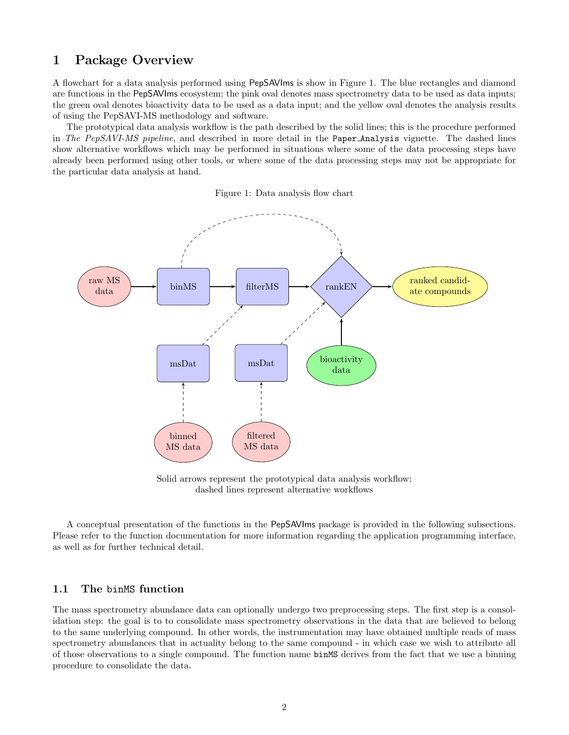## <span id="page-1-0"></span>1 Package Overview

A flowchart for a data analysis performed using PepSAVIms is show in Figure [1.](#page-1-2) The blue rectangles and diamond are functions in the PepSAVIms ecosystem; the pink oval denotes mass spectrometry data to be used as data inputs; the green oval denotes bioactivity data to be used as a data input; and the yellow oval denotes the analysis results of using the PepSAVI-MS methodology and software.

The prototypical data analysis workflow is the path described by the solid lines; this is the procedure performed in The PepSAVI-MS pipeline, and described in more detail in the Paper Analysis vignette. The dashed lines show alternative workflows which may be performed in situations where some of the data processing steps have already been performed using other tools, or where some of the data processing steps may not be appropriate for the particular data analysis at hand.

Figure 1: Data analysis flow chart

<span id="page-1-2"></span>

Solid arrows represent the prototypical data analysis workflow; dashed lines represent alternative workflows

A conceptual presentation of the functions in the PepSAVIms package is provided in the following subsections. Please refer to the function documentation for more information regarding the application programming interface, as well as for further technical detail.

## <span id="page-1-1"></span>1.1 The binMS function

The mass spectrometry abundance data can optionally undergo two preprocessing steps. The first step is a consolidation step: the goal is to to consolidate mass spectrometry observations in the data that are believed to belong to the same underlying compound. In other words, the instrumentation may have obtained multiple reads of mass spectrometry abundances that in actuality belong to the same compound - in which case we wish to attribute all of those observations to a single compound. The function name binMS derives from the fact that we use a binning procedure to consolidate the data.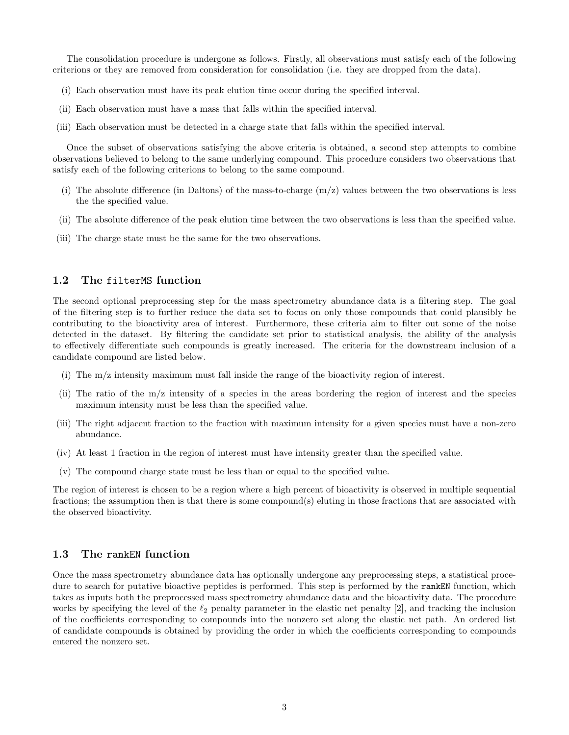The consolidation procedure is undergone as follows. Firstly, all observations must satisfy each of the following criterions or they are removed from consideration for consolidation (i.e. they are dropped from the data).

- (i) Each observation must have its peak elution time occur during the specified interval.
- (ii) Each observation must have a mass that falls within the specified interval.
- (iii) Each observation must be detected in a charge state that falls within the specified interval.

Once the subset of observations satisfying the above criteria is obtained, a second step attempts to combine observations believed to belong to the same underlying compound. This procedure considers two observations that satisfy each of the following criterions to belong to the same compound.

- (i) The absolute difference (in Daltons) of the mass-to-charge  $(m/z)$  values between the two observations is less the the specified value.
- (ii) The absolute difference of the peak elution time between the two observations is less than the specified value.
- (iii) The charge state must be the same for the two observations.

## <span id="page-2-0"></span>1.2 The filterMS function

The second optional preprocessing step for the mass spectrometry abundance data is a filtering step. The goal of the filtering step is to further reduce the data set to focus on only those compounds that could plausibly be contributing to the bioactivity area of interest. Furthermore, these criteria aim to filter out some of the noise detected in the dataset. By filtering the candidate set prior to statistical analysis, the ability of the analysis to effectively differentiate such compounds is greatly increased. The criteria for the downstream inclusion of a candidate compound are listed below.

- (i) The m/z intensity maximum must fall inside the range of the bioactivity region of interest.
- (ii) The ratio of the m/z intensity of a species in the areas bordering the region of interest and the species maximum intensity must be less than the specified value.
- (iii) The right adjacent fraction to the fraction with maximum intensity for a given species must have a non-zero abundance.
- (iv) At least 1 fraction in the region of interest must have intensity greater than the specified value.
- (v) The compound charge state must be less than or equal to the specified value.

The region of interest is chosen to be a region where a high percent of bioactivity is observed in multiple sequential fractions; the assumption then is that there is some compound(s) eluting in those fractions that are associated with the observed bioactivity.

### <span id="page-2-1"></span>1.3 The rankEN function

Once the mass spectrometry abundance data has optionally undergone any preprocessing steps, a statistical procedure to search for putative bioactive peptides is performed. This step is performed by the rankEN function, which takes as inputs both the preprocessed mass spectrometry abundance data and the bioactivity data. The procedure works by specifying the level of the  $\ell_2$  penalty parameter in the elastic net penalty [\[2\]](#page-17-1), and tracking the inclusion of the coefficients corresponding to compounds into the nonzero set along the elastic net path. An ordered list of candidate compounds is obtained by providing the order in which the coefficients corresponding to compounds entered the nonzero set.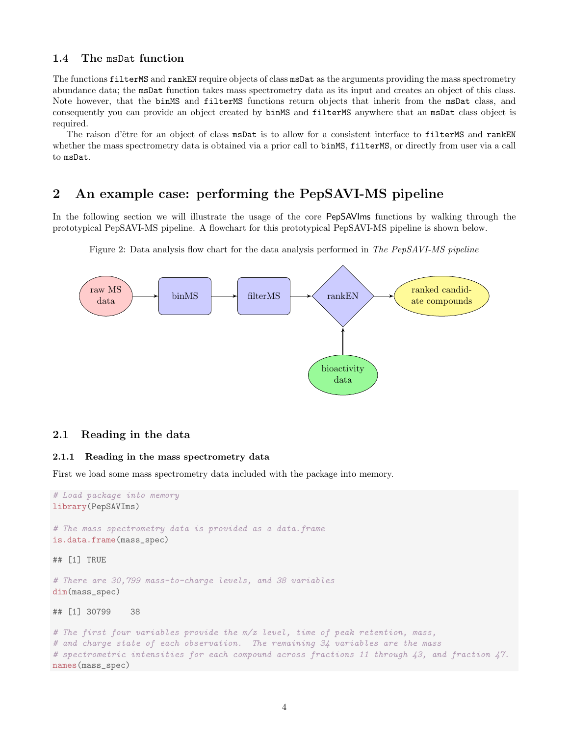## <span id="page-3-0"></span>1.4 The msDat function

The functions filterMS and rankEN require objects of class msDat as the arguments providing the mass spectrometry abundance data; the msDat function takes mass spectrometry data as its input and creates an object of this class. Note however, that the binMS and filterMS functions return objects that inherit from the msDat class, and consequently you can provide an object created by binMS and filterMS anywhere that an msDat class object is required.

The raison d'être for an object of class msDat is to allow for a consistent interface to filterMS and rankEN whether the mass spectrometry data is obtained via a prior call to binMS, filterMS, or directly from user via a call to msDat.

## <span id="page-3-1"></span>2 An example case: performing the PepSAVI-MS pipeline

In the following section we will illustrate the usage of the core PepSAVIms functions by walking through the prototypical PepSAVI-MS pipeline. A flowchart for this prototypical PepSAVI-MS pipeline is shown below.



Figure 2: Data analysis flow chart for the data analysis performed in The PepSAVI-MS pipeline

## <span id="page-3-2"></span>2.1 Reading in the data

#### <span id="page-3-3"></span>2.1.1 Reading in the mass spectrometry data

First we load some mass spectrometry data included with the package into memory.

```
# Load package into memory
library(PepSAVIms)
# The mass spectrometry data is provided as a data. frame
is.data.frame(mass_spec)
## [1] TRUE
# There are 30,799 mass-to-charge levels, and 38 variables
dim(mass_spec)
## [1] 30799 38
# The first four variables provide the m/z level, time of peak retention, mass,
# and charge state of each observation. The remaining 34 variables are the mass
# spectrometric intensities for each compound across fractions 11 through 43, and fraction 47.
names(mass_spec)
```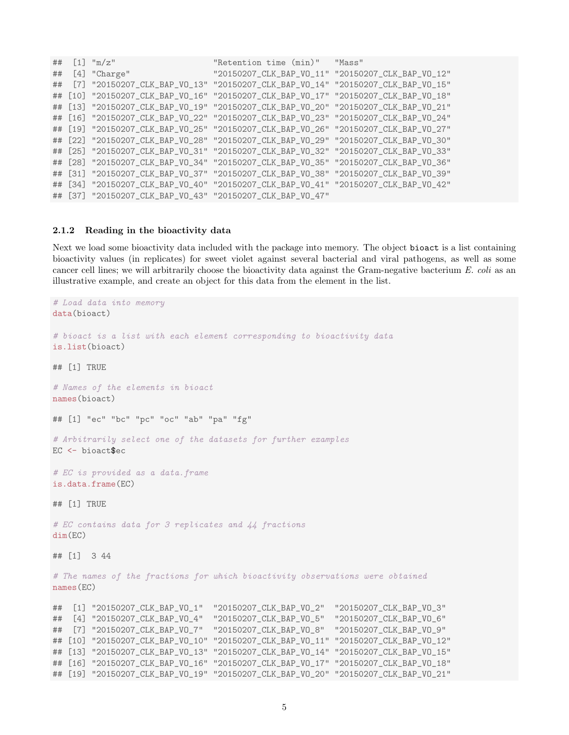|  | ## $[1]$ "m/z"                                            | "Retention time (min)" "Mass"                                                      |  |
|--|-----------------------------------------------------------|------------------------------------------------------------------------------------|--|
|  | $\#$ # [4] "Charge"                                       | "20150207_CLK_BAP_VO_11" "20150207_CLK_BAP_VO_12"                                  |  |
|  |                                                           | ## [7] "20150207_CLK_BAP_VO_13" "20150207_CLK_BAP_VO_14" "20150207_CLK_BAP_VO_15"  |  |
|  |                                                           | ## [10] "20150207_CLK_BAP_VO_16" "20150207_CLK_BAP_VO_17" "20150207_CLK_BAP_VO_18" |  |
|  |                                                           | ## [13] "20150207_CLK_BAP_VO_19" "20150207_CLK_BAP_VO_20" "20150207_CLK_BAP_VO_21" |  |
|  |                                                           | ## [16] "20150207_CLK_BAP_VO_22" "20150207_CLK_BAP_VO_23" "20150207_CLK_BAP_VO_24" |  |
|  |                                                           | ## [19] "20150207_CLK_BAP_VO_25" "20150207_CLK_BAP_VO_26" "20150207_CLK_BAP_VO_27" |  |
|  |                                                           | ## [22] "20150207_CLK_BAP_VO_28" "20150207_CLK_BAP_VO_29" "20150207_CLK_BAP_VO_30" |  |
|  |                                                           | ## [25] "20150207_CLK_BAP_V0_31" "20150207_CLK_BAP_V0_32" "20150207_CLK_BAP_V0_33" |  |
|  |                                                           | ## [28] "20150207_CLK_BAP_VO_34" "20150207_CLK_BAP_VO_35" "20150207_CLK_BAP_VO_36" |  |
|  |                                                           | ## [31] "20150207_CLK_BAP_VO_37" "20150207_CLK_BAP_VO_38" "20150207_CLK_BAP_VO_39" |  |
|  |                                                           | ## [34] "20150207_CLK_BAP_V0_40" "20150207_CLK_BAP_V0_41" "20150207_CLK_BAP_V0_42" |  |
|  | ## [37] "20150207_CLK_BAP_VO_43" "20150207_CLK_BAP_VO_47" |                                                                                    |  |

#### <span id="page-4-0"></span>2.1.2 Reading in the bioactivity data

Next we load some bioactivity data included with the package into memory. The object bioact is a list containing bioactivity values (in replicates) for sweet violet against several bacterial and viral pathogens, as well as some cancer cell lines; we will arbitrarily choose the bioactivity data against the Gram-negative bacterium E. coli as an illustrative example, and create an object for this data from the element in the list.

```
# Load data into memory
data(bioact)
# bioact is a list with each element corresponding to bioactivity data
is.list(bioact)
## [1] TRUE
# Names of the elements in bioact
names(bioact)
## [1] "ec" "bc" "pc" "oc" "ab" "pa" "fg"
# Arbitrarily select one of the datasets for further examples
EC <- bioact$ec
# EC is provided as a data.frame
is.data.frame(EC)
## [1] TRUE
# EC contains data for 3 replicates and 44 fractions
dim(EC)
## [1] 3 44
# The names of the fractions for which bioactivity observations were obtained
names(EC)
## [1] "20150207_CLK_BAP_VO_1" "20150207_CLK_BAP_VO_2" "20150207_CLK_BAP_VO_3"
## [4] "20150207_CLK_BAP_VO_4" "20150207_CLK_BAP_VO_5" "20150207_CLK_BAP_VO_6"
## [7] "20150207_CLK_BAP_VO_7" "20150207_CLK_BAP_VO_8" "20150207_CLK_BAP_VO_9"
## [10] "20150207_CLK_BAP_VO_10" "20150207_CLK_BAP_VO_11" "20150207_CLK_BAP_VO_12"
## [13] "20150207_CLK_BAP_VO_13" "20150207_CLK_BAP_VO_14" "20150207_CLK_BAP_VO_15"
## [16] "20150207_CLK_BAP_VO_16" "20150207_CLK_BAP_VO_17" "20150207_CLK_BAP_VO_18"
## [19] "20150207_CLK_BAP_VO_19" "20150207_CLK_BAP_VO_20" "20150207_CLK_BAP_VO_21"
```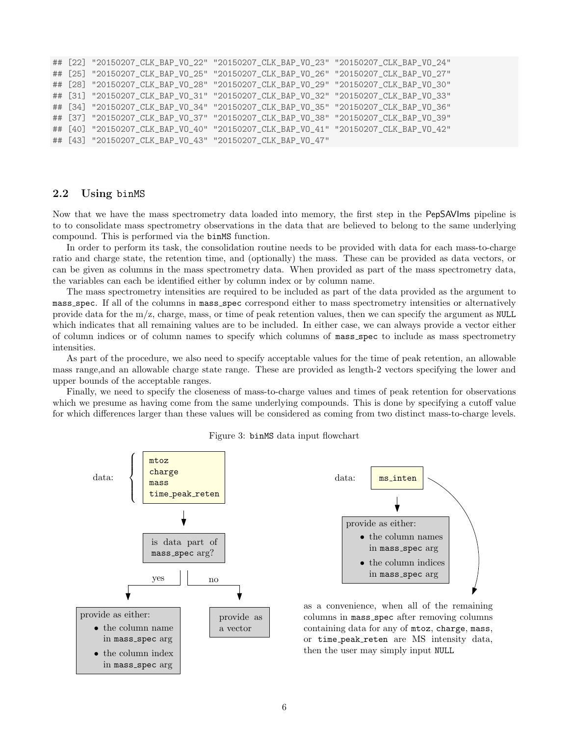```
## [22] "20150207_CLK_BAP_VO_22" "20150207_CLK_BAP_VO_23" "20150207_CLK_BAP_VO_24"
## [25] "20150207_CLK_BAP_VO_25" "20150207_CLK_BAP_VO_26" "20150207_CLK_BAP_VO_27"
## [28] "20150207_CLK_BAP_VO_28" "20150207_CLK_BAP_VO_29" "20150207_CLK_BAP_VO_30"
## [31] "20150207_CLK_BAP_VO_31" "20150207_CLK_BAP_VO_32" "20150207_CLK_BAP_VO_33"
## [34] "20150207_CLK_BAP_VO_34" "20150207_CLK_BAP_VO_35" "20150207_CLK_BAP_VO_36"
## [37] "20150207_CLK_BAP_VO_37" "20150207_CLK_BAP_VO_38" "20150207_CLK_BAP_VO_39"
## [40] "20150207_CLK_BAP_VO_40" "20150207_CLK_BAP_VO_41" "20150207_CLK_BAP_VO_42"
## [43] "20150207_CLK_BAP_VO_43" "20150207_CLK_BAP_VO_47"
```
## <span id="page-5-0"></span>2.2 Using binMS

Now that we have the mass spectrometry data loaded into memory, the first step in the PepSAVIms pipeline is to to consolidate mass spectrometry observations in the data that are believed to belong to the same underlying compound. This is performed via the binMS function.

In order to perform its task, the consolidation routine needs to be provided with data for each mass-to-charge ratio and charge state, the retention time, and (optionally) the mass. These can be provided as data vectors, or can be given as columns in the mass spectrometry data. When provided as part of the mass spectrometry data, the variables can each be identified either by column index or by column name.

The mass spectrometry intensities are required to be included as part of the data provided as the argument to mass spec. If all of the columns in mass spec correspond either to mass spectrometry intensities or alternatively provide data for the  $m/z$ , charge, mass, or time of peak retention values, then we can specify the argument as NULL which indicates that all remaining values are to be included. In either case, we can always provide a vector either of column indices or of column names to specify which columns of mass spec to include as mass spectrometry intensities.

As part of the procedure, we also need to specify acceptable values for the time of peak retention, an allowable mass range,and an allowable charge state range. These are provided as length-2 vectors specifying the lower and upper bounds of the acceptable ranges.

Finally, we need to specify the closeness of mass-to-charge values and times of peak retention for observations which we presume as having come from the same underlying compounds. This is done by specifying a cutoff value for which differences larger than these values will be considered as coming from two distinct mass-to-charge levels.



Figure 3: binMS data input flowchart



as a convenience, when all of the remaining columns in mass\_spec after removing columns containing data for any of mtoz, charge, mass, or time peak reten are MS intensity data, then the user may simply input NULL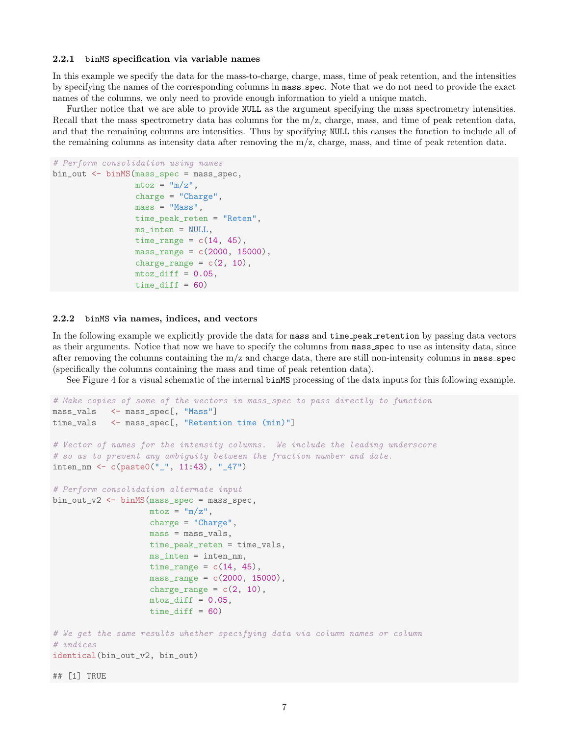#### <span id="page-6-0"></span>2.2.1 binMS specification via variable names

In this example we specify the data for the mass-to-charge, charge, mass, time of peak retention, and the intensities by specifying the names of the corresponding columns in mass spec. Note that we do not need to provide the exact names of the columns, we only need to provide enough information to yield a unique match.

Further notice that we are able to provide NULL as the argument specifying the mass spectrometry intensities. Recall that the mass spectrometry data has columns for the  $m/z$ , charge, mass, and time of peak retention data, and that the remaining columns are intensities. Thus by specifying NULL this causes the function to include all of the remaining columns as intensity data after removing the m/z, charge, mass, and time of peak retention data.

```
# Perform consolidation using names
bin_out <- binMS(mass_spec = mass_spec,
                  m\text{toz} = \text{m}/\text{z}",
                  charge = "Charge",mass = "Mass",time_peak_reten = "Reten",
                  ms_inten = NULL,
                  time_range = c(14, 45),
                  mass_range = c(2000, 15000),
                  charge_range = c(2, 10),
                  mtoz_diff = 0.05,
                  time\_diff = 60
```
#### <span id="page-6-1"></span>2.2.2 binMS via names, indices, and vectors

In the following example we explicitly provide the data for mass and time peak retention by passing data vectors as their arguments. Notice that now we have to specify the columns from mass spec to use as intensity data, since after removing the columns containing the  $m/z$  and charge data, there are still non-intensity columns in mass spec (specifically the columns containing the mass and time of peak retention data).

See Figure [4](#page-7-1) for a visual schematic of the internal binMS processing of the data inputs for this following example.

```
# Make copies of some of the vectors in mass_spec to pass directly to function
mass_vals <- mass_spec[, "Mass"]
time_vals <- mass_spec[, "Retention time (min)"]
# Vector of names for the intensity columns. We include the leading underscore
# so as to prevent any ambiguity between the fraction number and date.
inten_nm <- c(paste0("_", 11:43), "_47")
# Perform consolidation alternate input
bin_out_v2 <- binMS(mass_spec = mass_spec,
                    m\text{toz} = \text{m}/\text{z}",
                    charge = "Charge",mass = mass_vals,
                    time_peak_reten = time_vals,
                    ms_inten = inten_nm,
                    time_range = c(14, 45),
                    mass_range = c(2000, 15000),
                    charge_range = c(2, 10),
                    mtoz_diff = 0.05,
                    time\_diff = 60)# We get the same results whether specifying data via column names or column
# indices
identical(bin_out_v2, bin_out)
```
## [1] TRUE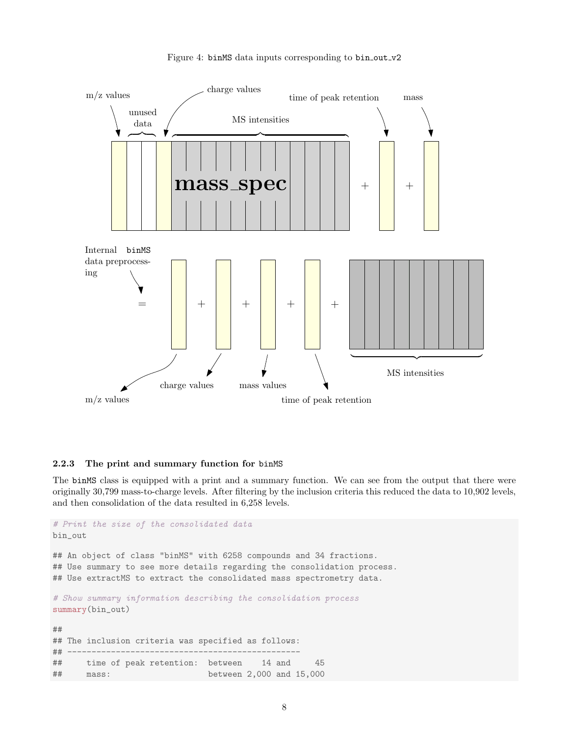<span id="page-7-1"></span>

#### Figure 4: binMS data inputs corresponding to bin\_out\_v2

## <span id="page-7-0"></span>2.2.3 The print and summary function for binMS

The binMS class is equipped with a print and a summary function. We can see from the output that there were originally 30,799 mass-to-charge levels. After filtering by the inclusion criteria this reduced the data to 10,902 levels, and then consolidation of the data resulted in 6,258 levels.

```
# Print the size of the consolidated data
bin_out
## An object of class "binMS" with 6258 compounds and 34 fractions.
## Use summary to see more details regarding the consolidation process.
## Use extractMS to extract the consolidated mass spectrometry data.
# Show summary information describing the consolidation process
summary(bin_out)
##
## The inclusion criteria was specified as follows:
## ------------------------------------------------
## time of peak retention: between 14 and 45
## mass: between 2,000 and 15,000
```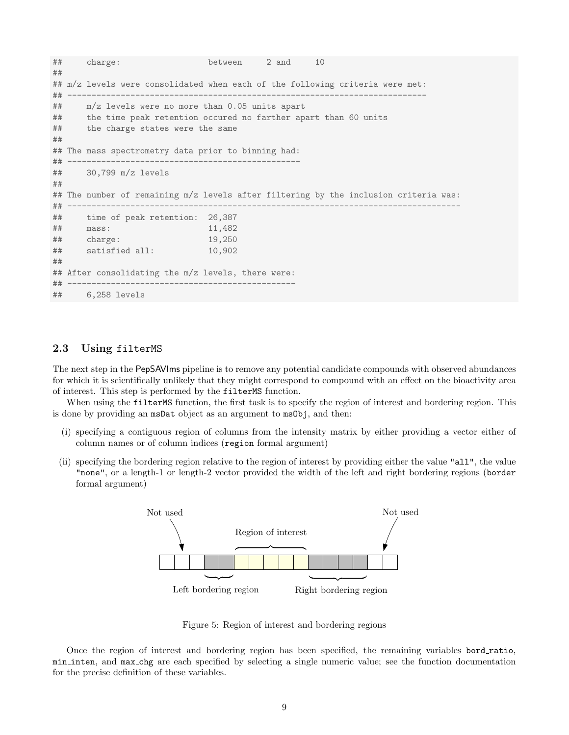```
## charge: between 2 and 10
##
## m/z levels were consolidated when each of the following criteria were met:
## --------------------------------------------------------------------------
## m/z levels were no more than 0.05 units apart
## the time peak retention occured no farther apart than 60 units
## the charge states were the same
##
## The mass spectrometry data prior to binning had:
## ------------------------------------------------
## 30,799 m/z levels
##
## The number of remaining m/z levels after filtering by the inclusion criteria was:
## ---------------------------------------------------------------------------------
## time of peak retention: 26,387
## mass: 11,482
## charge: 19,250
## satisfied all: 10,902
##
## After consolidating the m/z levels, there were:
## -----------------------------------------------
## 6,258 levels
```
## <span id="page-8-0"></span>2.3 Using filterMS

The next step in the PepSAVIms pipeline is to remove any potential candidate compounds with observed abundances for which it is scientifically unlikely that they might correspond to compound with an effect on the bioactivity area of interest. This step is performed by the filterMS function.

When using the filterMS function, the first task is to specify the region of interest and bordering region. This is done by providing an msDat object as an argument to msObj, and then:

- (i) specifying a contiguous region of columns from the intensity matrix by either providing a vector either of column names or of column indices (region formal argument)
- (ii) specifying the bordering region relative to the region of interest by providing either the value "all", the value "none", or a length-1 or length-2 vector provided the width of the left and right bordering regions (border formal argument)



Figure 5: Region of interest and bordering regions

Once the region of interest and bordering region has been specified, the remaining variables bord ratio, min inten, and max chg are each specified by selecting a single numeric value; see the function documentation for the precise definition of these variables.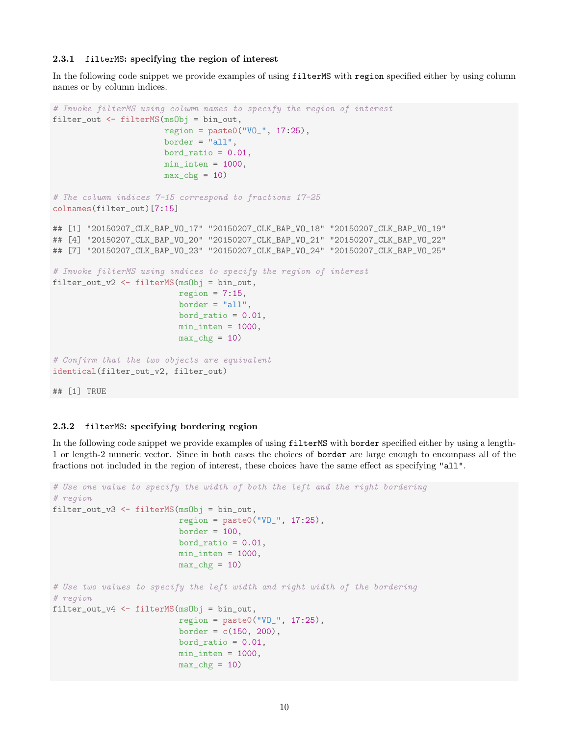#### <span id="page-9-0"></span>2.3.1 filterMS: specifying the region of interest

In the following code snippet we provide examples of using filterMS with region specified either by using column names or by column indices.

```
# Invoke filterMS using column names to specify the region of interest
filter_out <- filterMS(msObj = bin_out,
                       region = paste0("VO_", 17:25),
                       border = "all",bord_ratio = 0.01,
                       min\_inten = 1000,
                       max_c hg = 10# The column indices 7-15 correspond to fractions 17-25
colnames(filter_out)[7:15]
## [1] "20150207_CLK_BAP_VO_17" "20150207_CLK_BAP_VO_18" "20150207_CLK_BAP_VO_19"
## [4] "20150207_CLK_BAP_VO_20" "20150207_CLK_BAP_VO_21" "20150207_CLK_BAP_VO_22"
## [7] "20150207_CLK_BAP_VO_23" "20150207_CLK_BAP_VO_24" "20150207_CLK_BAP_VO_25"
# Invoke filterMS using indices to specify the region of interest
filter_out_v2 <- filterMS(msObj = bin_out,
                          region = 7:15,
                          border = "all",bord_ratio = 0.01,
                          min\_inten = 1000,max_c hg = 10# Confirm that the two objects are equivalent
identical(filter_out_v2, filter_out)
```
## [1] TRUE

### <span id="page-9-1"></span>2.3.2 filterMS: specifying bordering region

In the following code snippet we provide examples of using filterMS with border specified either by using a length-1 or length-2 numeric vector. Since in both cases the choices of border are large enough to encompass all of the fractions not included in the region of interest, these choices have the same effect as specifying "all".

```
# Use one value to specify the width of both the left and the right bordering
# region
filter_out_v3 <- filterMS(msObj = bin_out,
                          region = paste0("VO_", 17:25),
                          border = 100,
                          bord_ratio = 0.01,
                          min\_inten = 1000,
                          max_c hg = 10# Use two values to specify the left width and right width of the bordering
# region
filter_out_v4 <- filterMS(msObj = bin_out,
                          region = paste0("V0" , 17:25),
                          border = c(150, 200),bord_ratio = 0.01,
                          min\_inten = 1000,
                          max_c hg = 10
```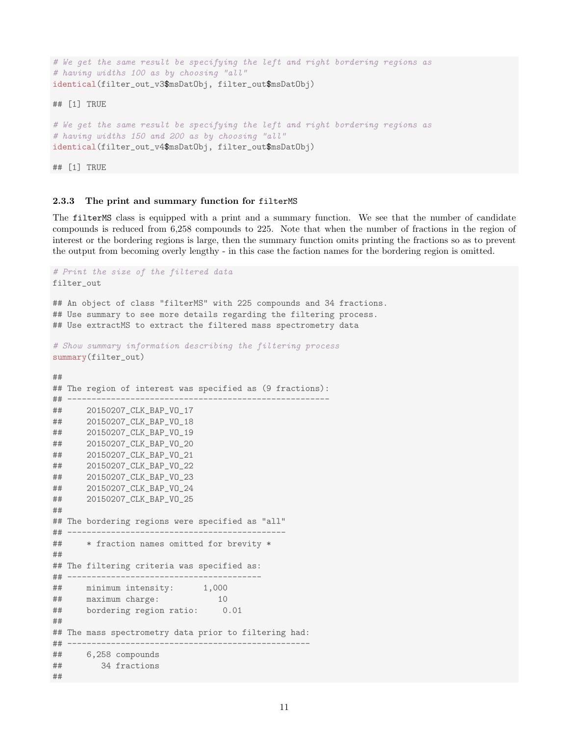```
# We get the same result be specifying the left and right bordering regions as
# having widths 100 as by choosing "all"
identical(filter_out_v3$msDatObj, filter_out$msDatObj)
```
## [1] TRUE

```
# We get the same result be specifying the left and right bordering regions as
# having widths 150 and 200 as by choosing "all"
identical(filter_out_v4$msDatObj, filter_out$msDatObj)
```
## [1] TRUE

#### <span id="page-10-0"></span>2.3.3 The print and summary function for filterMS

The filterMS class is equipped with a print and a summary function. We see that the number of candidate compounds is reduced from 6,258 compounds to 225. Note that when the number of fractions in the region of interest or the bordering regions is large, then the summary function omits printing the fractions so as to prevent the output from becoming overly lengthy - in this case the faction names for the bordering region is omitted.

```
# Print the size of the filtered data
filter_out
## An object of class "filterMS" with 225 compounds and 34 fractions.
## Use summary to see more details regarding the filtering process.
## Use extractMS to extract the filtered mass spectrometry data
# Show summary information describing the filtering process
summary(filter_out)
##
## The region of interest was specified as (9 fractions):
## ------------------------------------------------------
## 20150207_CLK_BAP_VO_17
## 20150207_CLK_BAP_VO_18
## 20150207_CLK_BAP_VO_19
## 20150207_CLK_BAP_VO_20
## 20150207_CLK_BAP_VO_21
## 20150207_CLK_BAP_VO_22
## 20150207_CLK_BAP_VO_23
## 20150207_CLK_BAP_VO_24
## 20150207_CLK_BAP_VO_25
##
## The bordering regions were specified as "all"
## ---------------------------------------------
## * fraction names omitted for brevity *
##
## The filtering criteria was specified as:
## ----------------------------------------
## minimum intensity: 1,000
## maximum charge: 10
## bordering region ratio: 0.01
##
## The mass spectrometry data prior to filtering had:
## --------------------------------------------------
## 6,258 compounds
## 34 fractions
##
```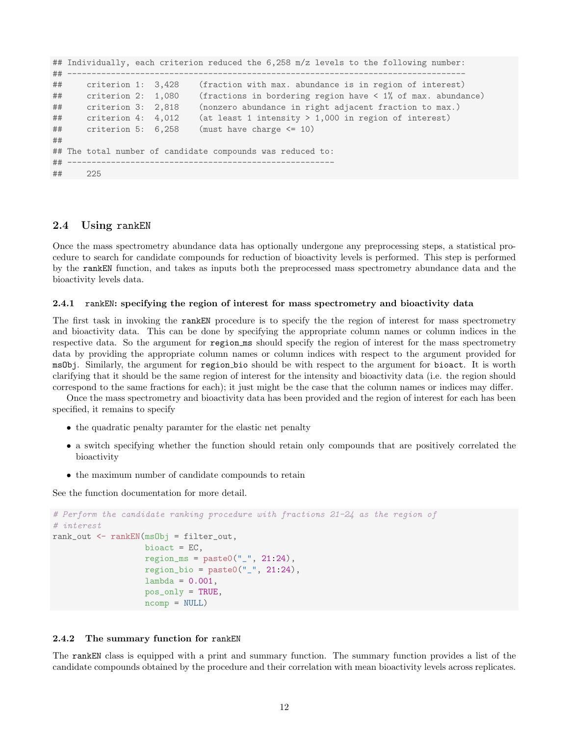```
## Individually, each criterion reduced the 6,258 m/z levels to the following number:
## ----------------------------------------------------------------------------------
## criterion 1: 3,428 (fraction with max. abundance is in region of interest)
## criterion 2: 1,080 (fractions in bordering region have < 1% of max. abundance)
## criterion 3: 2,818 (nonzero abundance in right adjacent fraction to max.)
## criterion 4: 4,012 (at least 1 intensity > 1,000 in region of interest)
\# criterion 5: 6,258 (must have charge \leq 10)
##
## The total number of candidate compounds was reduced to:
## -------------------------------------------------------
## 225
```
## <span id="page-11-0"></span>2.4 Using rankEN

Once the mass spectrometry abundance data has optionally undergone any preprocessing steps, a statistical procedure to search for candidate compounds for reduction of bioactivity levels is performed. This step is performed by the rankEN function, and takes as inputs both the preprocessed mass spectrometry abundance data and the bioactivity levels data.

#### <span id="page-11-1"></span>2.4.1 rankEN: specifying the region of interest for mass spectrometry and bioactivity data

The first task in invoking the rankEN procedure is to specify the the region of interest for mass spectrometry and bioactivity data. This can be done by specifying the appropriate column names or column indices in the respective data. So the argument for region ms should specify the region of interest for the mass spectrometry data by providing the appropriate column names or column indices with respect to the argument provided for msObj. Similarly, the argument for region bio should be with respect to the argument for bioact. It is worth clarifying that it should be the same region of interest for the intensity and bioactivity data (i.e. the region should correspond to the same fractions for each); it just might be the case that the column names or indices may differ.

Once the mass spectrometry and bioactivity data has been provided and the region of interest for each has been specified, it remains to specify

- the quadratic penalty paramter for the elastic net penalty
- a switch specifying whether the function should retain only compounds that are positively correlated the bioactivity
- the maximum number of candidate compounds to retain

See the function documentation for more detail.

```
# Perform the candidate ranking procedure with fractions 21-24 as the region of
# interest
rank_out <- rankEN(msObj = filter_out,
                   bioact = EC,
                   region_m s = paste0("_", 21:24),region\_bio = paste0("_", 21:24),lambda = 0.001,
                   pos_only = TRUE,
                   ncomp = NULL)
```
#### <span id="page-11-2"></span>2.4.2 The summary function for rankEN

The rankEN class is equipped with a print and summary function. The summary function provides a list of the candidate compounds obtained by the procedure and their correlation with mean bioactivity levels across replicates.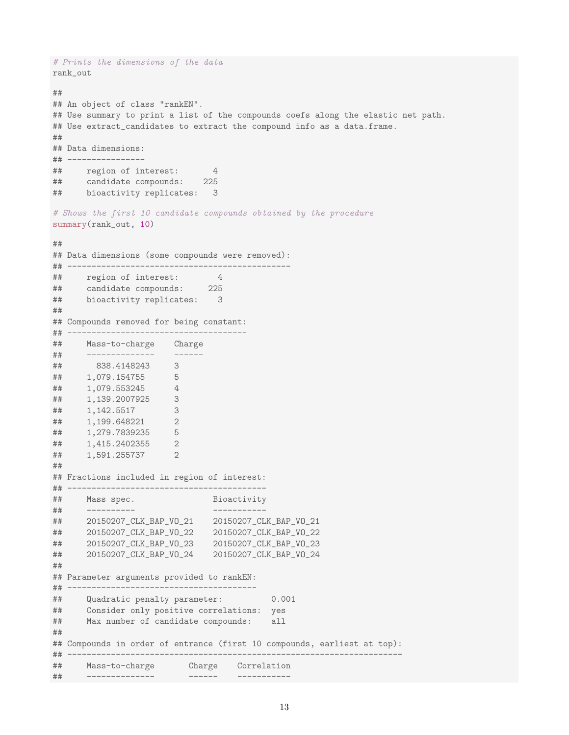```
# Prints the dimensions of the data
rank_out
##
## An object of class "rankEN".
## Use summary to print a list of the compounds coefs along the elastic net path.
## Use extract_candidates to extract the compound info as a data.frame.
##
## Data dimensions:
## ----------------
## region of interest: 4
## candidate compounds: 225
## bioactivity replicates: 3
# Shows the first 10 candidate compounds obtained by the procedure
summary(rank_out, 10)
##
## Data dimensions (some compounds were removed):
## ----------------------------------------------
## region of interest: 4
## candidate compounds: 225
## bioactivity replicates: 3
##
## Compounds removed for being constant:
## -------------------------------------
## Mass-to-charge Charge
## -------------- ------
## 838.4148243 3
## 1,079.154755 5
## 1,079.553245 4
## 1,139.2007925 3
## 1,142.5517 3
## 1,199.648221 2
## 1,279.7839235 5
## 1,415.2402355 2
## 1,591.255737 2
##
## Fractions included in region of interest:
## -----------------------------------------
## Mass spec. Bioactivity
## ---------- -----------
## 20150207_CLK_BAP_VO_21 20150207_CLK_BAP_VO_21
## 20150207_CLK_BAP_VO_22 20150207_CLK_BAP_VO_22
## 20150207_CLK_BAP_VO_23 20150207_CLK_BAP_VO_23
## 20150207_CLK_BAP_VO_24 20150207_CLK_BAP_VO_24
##
## Parameter arguments provided to rankEN:
## ---------------------------------------
## Quadratic penalty parameter: 0.001
## Consider only positive correlations: yes
## Max number of candidate compounds: all
##
## Compounds in order of entrance (first 10 compounds, earliest at top):
## ---------------------------------------------------------------------
## Mass-to-charge Charge Correlation
## -------------- ------ -----------
```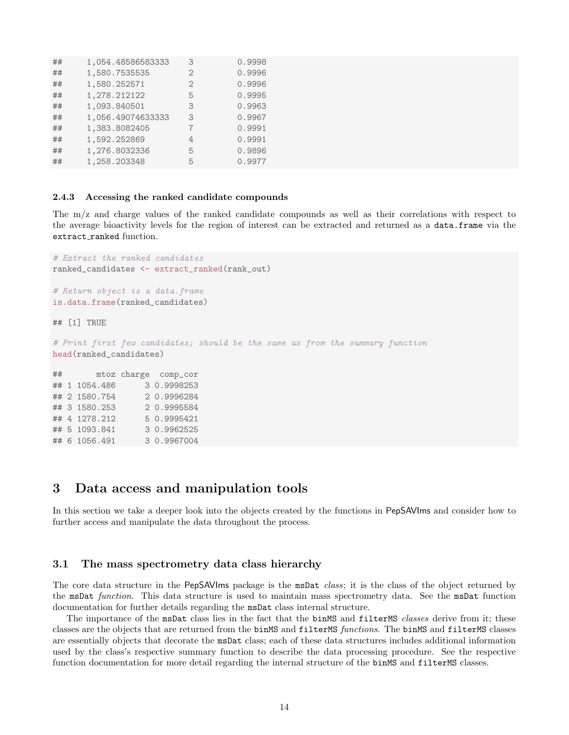| ## | 1,054.48586583333 | 3              | 0.9998 |
|----|-------------------|----------------|--------|
| ## | 1,580.7535535     | $\overline{2}$ | 0.9996 |
| ## | 1,580.252571      |                | 0.9996 |
| ## | 1,278.212122      | 5              | 0.9995 |
| ## | 1,093.840501      | 3              | 0.9963 |
| ## | 1,056.49074633333 | 3              | 0.9967 |
| ## | 1,383.8082405     |                | 0.9991 |
| ## | 1,592.252869      | $\overline{4}$ | 0.9991 |
| ## | 1,276.8032336     | 5              | 0.9896 |
| ## | 1,258.203348      | 5              | 0.9977 |

#### <span id="page-13-0"></span>2.4.3 Accessing the ranked candidate compounds

The m/z and charge values of the ranked candidate compounds as well as their correlations with respect to the average bioactivity levels for the region of interest can be extracted and returned as a data.frame via the extract ranked function.

```
# Extract the ranked candidates
ranked_candidates <- extract_ranked(rank_out)
# Return object is a data.frame
is.data.frame(ranked_candidates)
## [1] TRUE
# Print first few candidates; should be the same as from the summary function
head(ranked_candidates)
## mtoz charge comp_cor
## 1 1054.486 3 0.9998253
## 2 1580.754 2 0.9996284
## 3 1580.253 2 0.9995584
## 4 1278.212 5 0.9995421
## 5 1093.841 3 0.9962525
## 6 1056.491 3 0.9967004
```
## <span id="page-13-1"></span>3 Data access and manipulation tools

In this section we take a deeper look into the objects created by the functions in PepSAVIms and consider how to further access and manipulate the data throughout the process.

### <span id="page-13-2"></span>3.1 The mass spectrometry data class hierarchy

The core data structure in the PepSAVIms package is the msDat *class*; it is the class of the object returned by the msDat function. This data structure is used to maintain mass spectrometry data. See the msDat function documentation for further details regarding the msDat class internal structure.

The importance of the msDat class lies in the fact that the binMS and filterMS *classes* derive from it; these classes are the objects that are returned from the binMS and filterMS functions. The binMS and filterMS classes are essentially objects that decorate the msDat class; each of these data structures includes additional information used by the class's respective summary function to describe the data processing procedure. See the respective function documentation for more detail regarding the internal structure of the binMS and filterMS classes.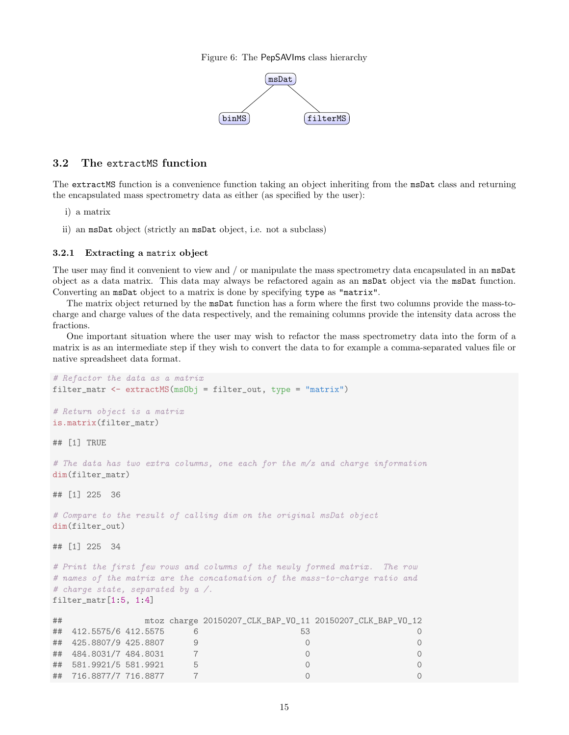Figure 6: The PepSAVIms class hierarchy



## <span id="page-14-0"></span>3.2 The extractMS function

The extractMS function is a convenience function taking an object inheriting from the msDat class and returning the encapsulated mass spectrometry data as either (as specified by the user):

- i) a matrix
- ii) an msDat object (strictly an msDat object, i.e. not a subclass)

#### <span id="page-14-1"></span>3.2.1 Extracting a matrix object

The user may find it convenient to view and / or manipulate the mass spectrometry data encapsulated in an msDat object as a data matrix. This data may always be refactored again as an msDat object via the msDat function. Converting an msDat object to a matrix is done by specifying type as "matrix".

The matrix object returned by the msDat function has a form where the first two columns provide the mass-tocharge and charge values of the data respectively, and the remaining columns provide the intensity data across the fractions.

One important situation where the user may wish to refactor the mass spectrometry data into the form of a matrix is as an intermediate step if they wish to convert the data to for example a comma-separated values file or native spreadsheet data format.

```
# Refactor the data as a matrix
filter_matr <- extractMS(msObj = filter_out, type = "matrix")
# Return object is a matrix
is.matrix(filter_matr)
## [1] TRUE
# The data has two extra columns, one each for the m/z and charge information
dim(filter_matr)
## [1] 225 36
# Compare to the result of calling dim on the original msDat object
dim(filter_out)
## [1] 225 34
# Print the first few rows and columns of the newly formed matrix. The row
# names of the matrix are the concatonation of the mass-to-charge ratio and
# charge state, separated by a /.
filter_matr[1:5, 1:4]
## mtoz charge 20150207_CLK_BAP_VO_11 20150207_CLK_BAP_VO_12
## 412.5575/6 412.5575 6 53 0
## 425.8807/9 425.8807 9 0 0
## 484.8031/7 484.8031 7 0 0
## 581.9921/5 581.9921 5 0 0
## 716.8877/7 716.8877 7 0 0
```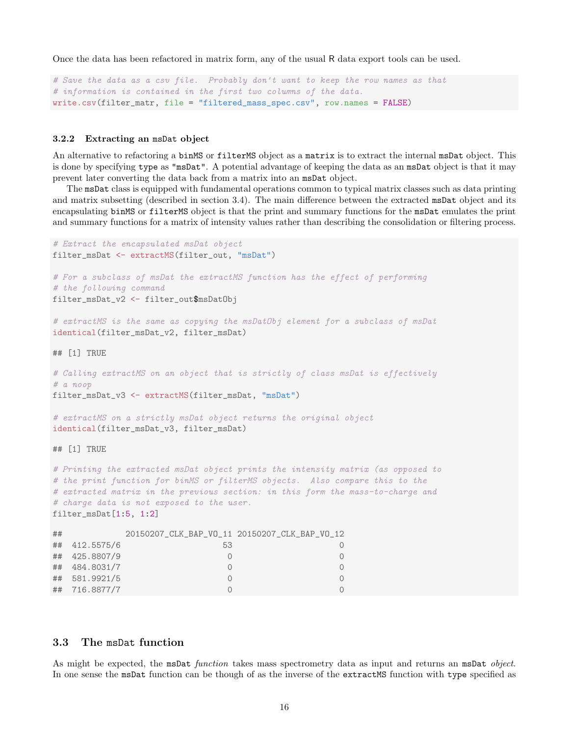Once the data has been refactored in matrix form, any of the usual R data export tools can be used.

```
# Save the data as a csv file. Probably don't want to keep the row names as that
# information is contained in the first two columns of the data.
write.csv(filter_matr, file = "filtered_mass_spec.csv", row.names = FALSE)
```
#### <span id="page-15-0"></span>3.2.2 Extracting an msDat object

An alternative to refactoring a binMS or filterMS object as a matrix is to extract the internal msDat object. This is done by specifying type as "msDat". A potential advantage of keeping the data as an msDat object is that it may prevent later converting the data back from a matrix into an msDat object.

The msDat class is equipped with fundamental operations common to typical matrix classes such as data printing and matrix subsetting (described in section [3.4\)](#page-16-0). The main difference between the extracted msDat object and its encapsulating binMS or filterMS object is that the print and summary functions for the msDat emulates the print and summary functions for a matrix of intensity values rather than describing the consolidation or filtering process.

```
# Extract the encapsulated msDat object
filter_msDat <- extractMS(filter_out, "msDat")
# For a subclass of msDat the extractMS function has the effect of performing
# the following command
filter_msDat_v2 <- filter_out$msDatObj
# extractMS is the same as copying the msDatObj element for a subclass of msDat
identical(filter_msDat_v2, filter_msDat)
## [1] TRUE
# Calling extractMS on an object that is strictly of class msDat is effectively
# a noop
filter_msDat_v3 <- extractMS(filter_msDat, "msDat")
# extractMS on a strictly msDat object returns the original object
identical(filter_msDat_v3, filter_msDat)
## [1] TRUE
# Printing the extracted msDat object prints the intensity matrix (as opposed to
# the print function for binMS or filterMS objects. Also compare this to the
# extracted matrix in the previous section: in this form the mass-to-charge and
# charge data is not exposed to the user.
filter_msDat[1:5, 1:2]
## 20150207_CLK_BAP_VO_11 20150207_CLK_BAP_VO_12
## 412.5575/6 53 0
## 425.8807/9 0 0
## 484.8031/7 0 0
## 581.9921/5 0 0
```
## 716.8877/7 0 0

#### <span id="page-15-1"></span>3.3 The msDat function

As might be expected, the msDat function takes mass spectrometry data as input and returns an msDat object. In one sense the msDat function can be though of as the inverse of the extractMS function with type specified as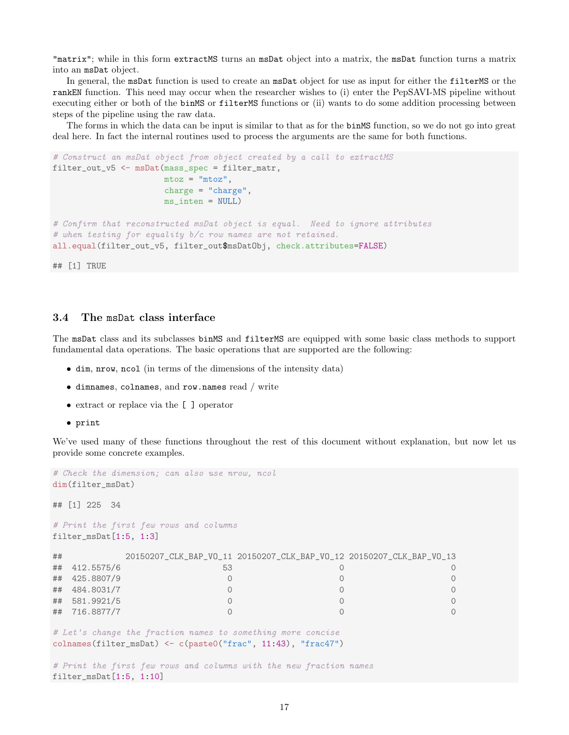"matrix"; while in this form extractMS turns an msDat object into a matrix, the msDat function turns a matrix into an msDat object.

In general, the msDat function is used to create an msDat object for use as input for either the filterMS or the rankEN function. This need may occur when the researcher wishes to (i) enter the PepSAVI-MS pipeline without executing either or both of the binMS or filterMS functions or (ii) wants to do some addition processing between steps of the pipeline using the raw data.

The forms in which the data can be input is similar to that as for the binMS function, so we do not go into great deal here. In fact the internal routines used to process the arguments are the same for both functions.

```
# Construct an msDat object from object created by a call to extractMS
filter_out_v5 <- msDat(mass_spec = filter_matr,
                      mtoz = "mtoz",charge = "charge",ms inten = NULL)
# Confirm that reconstructed msDat object is equal. Need to ignore attributes
# when testing for equality b/c row names are not retained.
all.equal(filter_out_v5, filter_out$msDatObj, check.attributes=FALSE)
```
## [1] TRUE

## <span id="page-16-0"></span>3.4 The msDat class interface

The msDat class and its subclasses binMS and filterMS are equipped with some basic class methods to support fundamental data operations. The basic operations that are supported are the following:

- dim, nrow, ncol (in terms of the dimensions of the intensity data)
- dimnames, colnames, and row.names read / write
- extract or replace via the [ ] operator
- print

We've used many of these functions throughout the rest of this document without explanation, but now let us provide some concrete examples.

```
# Check the dimension; can also use nrow, ncol
dim(filter_msDat)
## [1] 225 34
# Print the first few rows and columns
filter_msDat[1:5, 1:3]
## 20150207_CLK_BAP_VO_11 20150207_CLK_BAP_VO_12 20150207_CLK_BAP_VO_13
## 412.5575/6 53 0 0
## 425.8807/9 0 0 0
## 484.8031/7 0 0 0
## 581.9921/5 0 0 0
## 716.8877/7 0 0 0
# Let's change the fraction names to something more concise
colnames(filter_msDat) <- c(paste0("frac", 11:43), "frac47")
# Print the first few rows and columns with the new fraction names
filter_msDat[1:5, 1:10]
```